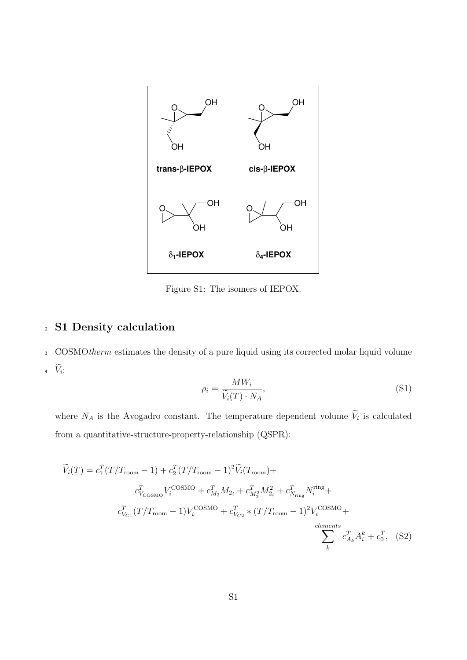

Figure S1: The isomers of IEPOX.

## <sup>2</sup> S1 Density calculation

<sup>3</sup> COSMOtherm estimates the density of a pure liquid using its corrected molar liquid volume 4  $\widetilde{V}_i$ :

$$
\rho_i = \frac{MW_i}{\widetilde{V}_i(T) \cdot N_A},\tag{S1}
$$

where  $N_A$  is the Avogadro constant. The temperature dependent volume  $\widetilde{V}_i$  is calculated from a quantitative-structure-property-relationship (QSPR):

$$
\widetilde{V}_{i}(T) = c_{1}^{T}(T/T_{\text{room}} - 1) + c_{2}^{T}(T/T_{\text{room}} - 1)^{2}\widetilde{V}_{i}(T_{\text{room}}) +
$$
\n
$$
c_{V_{\text{COSMO}}}^{T}V_{i}^{\text{COSMO}} + c_{M_{2}}^{T}M_{2_{i}} + c_{M_{2}}^{T}M_{2_{i}}^{2} + c_{N_{\text{ring}}}^{T}N_{i}^{\text{ring}} +
$$
\n
$$
c_{V_{C1}}^{T}(T/T_{\text{room}} - 1)V_{i}^{\text{COSMO}} + c_{V_{C2}}^{T} * (T/T_{\text{room}} - 1)^{2}V_{i}^{\text{COSMO}} +
$$
\n
$$
\sum_{k}^{elements} c_{A_{k}}^{T}A_{i}^{k} + c_{0}^{T}, \quad (S2)
$$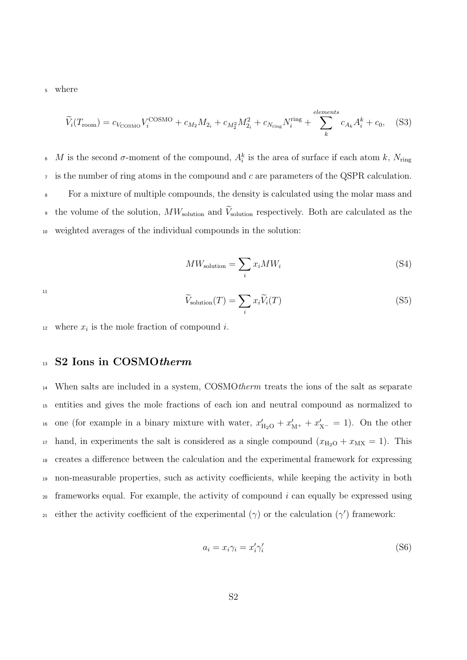<sup>5</sup> where

$$
\widetilde{V}_{i}(T_{\text{room}}) = c_{V_{\text{COSMO}}} V_{i}^{\text{COSMO}} + c_{M_{2}} M_{2_{i}} + c_{M_{2}^{2}} M_{2_{i}}^{2} + c_{N_{\text{ring}}} N_{i}^{\text{ring}} + \sum_{k}^{elements} c_{A_{k}} A_{i}^{k} + c_{0}, \quad (S3)
$$

<sup>6</sup> M is the second σ-moment of the compound,  $A_i^k$  is the area of surface if each atom k,  $N_{\text{ring}}$  $\tau$  is the number of ring atoms in the compound and c are parameters of the QSPR calculation. <sup>8</sup> For a mixture of multiple compounds, the density is calculated using the molar mass and the volume of the solution,  $MW_{\text{solution}}$  and  $\widetilde{V}_{\text{solution}}$  respectively. Both are calculated as the <sup>10</sup> weighted averages of the individual compounds in the solution:

$$
MW_{\text{solution}} = \sum_{i} x_i MW_i \tag{S4}
$$

11

$$
\widetilde{V}_{\text{solution}}(T) = \sum_{i} x_i \widetilde{V}_i(T) \tag{S5}
$$

<sup>12</sup> where  $x_i$  is the mole fraction of compound *i*.

#### 13 S2 Ions in COSMOtherm

 When salts are included in a system, COSMOtherm treats the ions of the salt as separate entities and gives the mole fractions of each ion and neutral compound as normalized to <sup>16</sup> one (for example in a binary mixture with water,  $x'_{\text{H}_2\text{O}} + x'_{\text{M}^+} + x'_{\text{X}^-} = 1$ ). On the other <sup>17</sup> hand, in experiments the salt is considered as a single compound  $(x_{H_2O} + x_{MX} = 1)$ . This creates a difference between the calculation and the experimental framework for expressing non-measurable properties, such as activity coefficients, while keeping the activity in both frameworks equal. For example, the activity of compound i can equally be expressed using either the activity coefficient of the experimental ( $\gamma$ ) or the calculation ( $\gamma'$ ) framework:

$$
a_i = x_i \gamma_i = x'_i \gamma'_i \tag{S6}
$$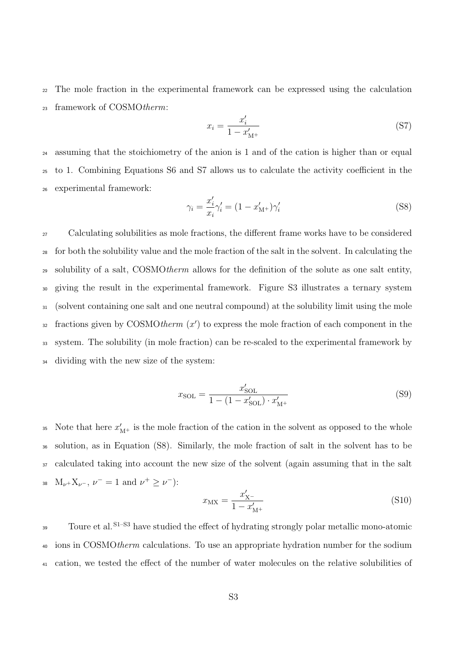<sup>22</sup> The mole fraction in the experimental framework can be expressed using the calculation <sup>23</sup> framework of COSMOtherm:

$$
x_i = \frac{x'_i}{1 - x'_{\text{M}^+}}
$$
 (S7)

<sup>24</sup> assuming that the stoichiometry of the anion is 1 and of the cation is higher than or equal <sup>25</sup> to 1. Combining Equations S6 and S7 allows us to calculate the activity coefficient in the <sup>26</sup> experimental framework:

$$
\gamma_i = \frac{x_i'}{x_i} \gamma_i' = (1 - x_{\text{M}^+}') \gamma_i' \tag{S8}
$$

 Calculating solubilities as mole fractions, the different frame works have to be considered for both the solubility value and the mole fraction of the salt in the solvent. In calculating the <sup>29</sup> solubility of a salt, COSMOtherm allows for the definition of the solute as one salt entity, giving the result in the experimental framework. Figure S3 illustrates a ternary system (solvent containing one salt and one neutral compound) at the solubility limit using the mole  $s<sub>2</sub>$  fractions given by COSMOtherm  $(x')$  to express the mole fraction of each component in the system. The solubility (in mole fraction) can be re-scaled to the experimental framework by dividing with the new size of the system:

$$
x_{\text{SOL}} = \frac{x'_{\text{SOL}}}{1 - (1 - x'_{\text{SOL}}) \cdot x'_{\text{M}^+}}
$$
(S9)

35 Note that here  $x'_{M+}$  is the mole fraction of the cation in the solvent as opposed to the whole <sup>36</sup> solution, as in Equation (S8). Similarly, the mole fraction of salt in the solvent has to be <sup>37</sup> calculated taking into account the new size of the solvent (again assuming that in the salt 38 M<sub>v</sub>+X<sub>v</sub>-,  $\nu^- = 1$  and  $\nu^+ \geq \nu^-$ :

$$
x_{\rm MX} = \frac{x'_{\rm X^-}}{1 - x'_{\rm M^+}}\tag{S10}
$$

Toure et al.<sup>S1-S3</sup> have studied the effect of hydrating strongly polar metallic mono-atomic <sup>40</sup> ions in COSMOtherm calculations. To use an appropriate hydration number for the sodium <sup>41</sup> cation, we tested the effect of the number of water molecules on the relative solubilities of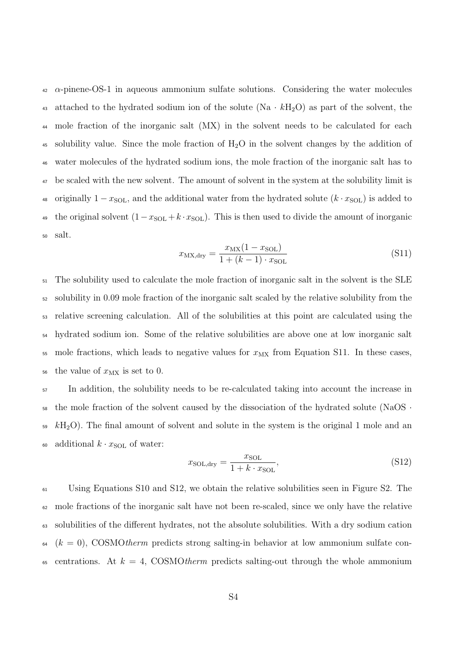$\alpha$ -pinene-OS-1 in aqueous ammonium sulfate solutions. Considering the water molecules 43 attached to the hydrated sodium ion of the solute (Na  $\cdot kH_2O$ ) as part of the solvent, the <sup>44</sup> mole fraction of the inorganic salt (MX) in the solvent needs to be calculated for each <sup>45</sup> solubility value. Since the mole fraction of  $H_2O$  in the solvent changes by the addition of <sup>46</sup> water molecules of the hydrated sodium ions, the mole fraction of the inorganic salt has to <sup>47</sup> be scaled with the new solvent. The amount of solvent in the system at the solubility limit is 48 originally  $1 - x_{\text{SOL}}$ , and the additional water from the hydrated solute  $(k \cdot x_{\text{SOL}})$  is added to <sup>49</sup> the original solvent  $(1-x_{SOL}+k\cdot x_{SOL})$ . This is then used to divide the amount of inorganic <sup>50</sup> salt.

$$
x_{\text{MX,dry}} = \frac{x_{\text{MX}}(1 - x_{\text{SOL}})}{1 + (k - 1) \cdot x_{\text{SOL}}}
$$
(S11)

 The solubility used to calculate the mole fraction of inorganic salt in the solvent is the SLE solubility in 0.09 mole fraction of the inorganic salt scaled by the relative solubility from the relative screening calculation. All of the solubilities at this point are calculated using the hydrated sodium ion. Some of the relative solubilities are above one at low inorganic salt 55 mole fractions, which leads to negative values for  $x_{MX}$  from Equation S11. In these cases, 56 the value of  $x_{\text{MX}}$  is set to 0.

<sup>57</sup> In addition, the solubility needs to be re-calculated taking into account the increase in  $58$  the mole fraction of the solvent caused by the dissociation of the hydrated solute (NaOS  $\cdot$  $\mu_{\rm B}$ <sub>59</sub> kH<sub>2</sub>O). The final amount of solvent and solute in the system is the original 1 mole and an 60 additional  $k \cdot x_{\text{SOL}}$  of water:

$$
x_{\text{SOL},\text{dry}} = \frac{x_{\text{SOL}}}{1 + k \cdot x_{\text{SOL}}},\tag{S12}
$$

<sup>61</sup> Using Equations S10 and S12, we obtain the relative solubilities seen in Figure S2. The <sup>62</sup> mole fractions of the inorganic salt have not been re-scaled, since we only have the relative <sup>63</sup> solubilities of the different hydrates, not the absolute solubilities. With a dry sodium cation  $64 (k = 0)$ , COSMOtherm predicts strong salting-in behavior at low ammonium sulfate con-65 centrations. At  $k = 4$ , COSMOtherm predicts salting-out through the whole ammonium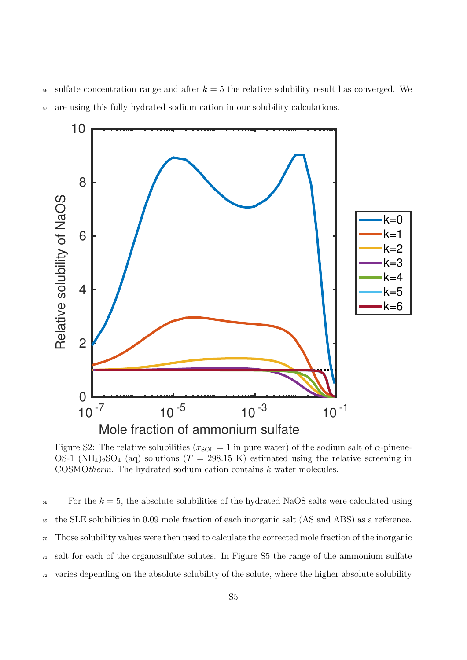66 sulfate concentration range and after  $k = 5$  the relative solubility result has converged. We <sup>67</sup> are using this fully hydrated sodium cation in our solubility calculations.



Figure S2: The relative solubilities ( $x_{SOL} = 1$  in pure water) of the sodium salt of  $\alpha$ -pinene-OS-1 (NH<sub>4</sub>)<sub>2</sub>SO<sub>4</sub> (aq) solutions (T = 298.15 K) estimated using the relative screening in COSMOtherm. The hydrated sodium cation contains k water molecules.

 $\epsilon$ <sup>88</sup> For the  $k = 5$ , the absolute solubilities of the hydrated NaOS salts were calculated using the SLE solubilities in 0.09 mole fraction of each inorganic salt (AS and ABS) as a reference. Those solubility values were then used to calculate the corrected mole fraction of the inorganic salt for each of the organosulfate solutes. In Figure S5 the range of the ammonium sulfate varies depending on the absolute solubility of the solute, where the higher absolute solubility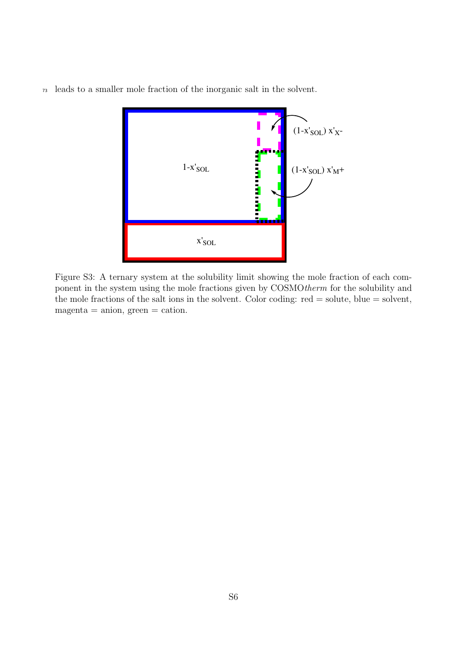<sup>73</sup> leads to a smaller mole fraction of the inorganic salt in the solvent.



Figure S3: A ternary system at the solubility limit showing the mole fraction of each component in the system using the mole fractions given by COSMOtherm for the solubility and the mole fractions of the salt ions in the solvent. Color coding: red = solute, blue = solvent,  $magenta = anion, green = cation.$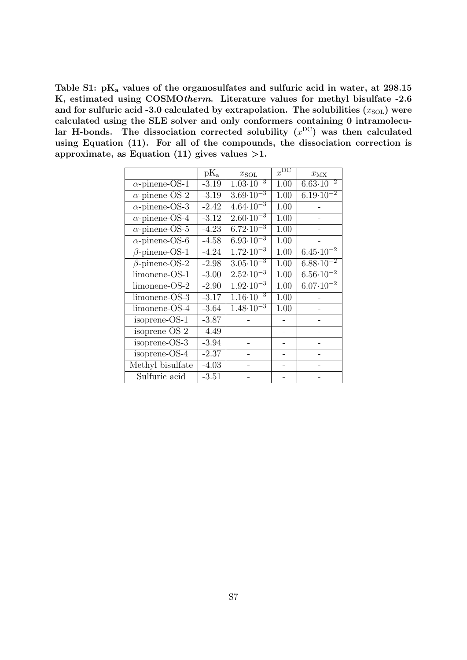Table S1:  $pK_a$  values of the organosulfates and sulfuric acid in water, at 298.15 K, estimated using COSMOtherm. Literature values for methyl bisulfate -2.6 and for sulfuric acid -3.0 calculated by extrapolation. The solubilities  $(x_{\text{SOL}})$  were calculated using the SLE solver and only conformers containing 0 intramolecular H-bonds. The dissociation corrected solubility  $(x^{DC})$  was then calculated using Equation (11). For all of the compounds, the dissociation correction is approximate, as Equation  $(11)$  gives values  $>1$ .

| $\rm{pK}_a$ | $x_{\text{SOL}}$                |                      | $x_{\text{MX}}$                 |
|-------------|---------------------------------|----------------------|---------------------------------|
| $-3.19$     | $1.03 \cdot 10^{-3}$            | 1.00                 | $6.63 \cdot 10^{-2}$            |
| $-3.19$     | $3.69 \cdot 10^{-3}$            | 1.00                 | $6.19 \cdot 10^{-2}$            |
| $-2.42$     |                                 | 1.00                 |                                 |
| $-3.12$     | $2.60 \cdot 10^{-3}$            | 1.00                 |                                 |
| $-4.23$     | $6.72 \cdot 10^{-3}$            | 1.00                 |                                 |
| $-4.58$     | $6.93 \cdot 10^{-3}$            | 1.00                 |                                 |
| $-4.24$     | $1.72 \cdot 10^{-3}$            | 1.00                 | $6.45 \cdot 10^{-2}$            |
| $-2.98$     | $3.05 \cdot 10^{-3}$            | 1.00                 | $6.88 \cdot 10^{-2}$            |
| $-3.00$     | $2.52 \cdot 10^{-3}$            | 1.00                 | $6.\overline{56.10^{-2}}$       |
| $-2.90$     | $1.92 \cdot 10^{-3}$            | 1.00                 | $6.07 \cdot \overline{10^{-2}}$ |
| $-3.17$     | $\overline{1.16 \cdot 10^{-3}}$ | 1.00                 |                                 |
| $-3.64$     | $1.48 \cdot 10^{-3}$            | 1.00                 |                                 |
| $-3.87$     |                                 |                      |                                 |
| $-4.49$     |                                 |                      |                                 |
| $-3.94$     |                                 |                      |                                 |
| $-2.37$     |                                 |                      |                                 |
| $-4.03$     |                                 |                      |                                 |
| $-3.51$     |                                 |                      |                                 |
|             |                                 | $4.64 \cdot 10^{-3}$ | $x^{\overline{\mathrm{DC}}}$    |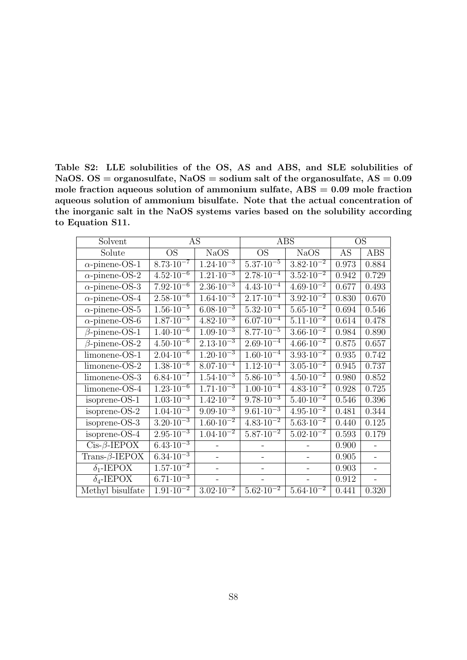Table S2: LLE solubilities of the OS, AS and ABS, and SLE solubilities of NaOS. OS = organosulfate, NaOS = sodium salt of the organosulfate,  $AS = 0.09$ mole fraction aqueous solution of ammonium sulfate,  $\text{ABS} = 0.09$  mole fraction aqueous solution of ammonium bisulfate. Note that the actual concentration of the inorganic salt in the NaOS systems varies based on the solubility according to Equation S11.

| Solvent                     |                                 | AS                        |                                 | <b>ABS</b>                      |       | <b>OS</b>  |
|-----------------------------|---------------------------------|---------------------------|---------------------------------|---------------------------------|-------|------------|
| Solute                      | <b>OS</b>                       | <b>NaOS</b>               | <b>OS</b>                       | <b>NaOS</b>                     | AS    | <b>ABS</b> |
| $\alpha$ -pinene-OS-1       | $8.73 \cdot 10^{-7}$            | $1.24 \cdot 10^{-3}$      | $5.37 \cdot 10^{-5}$            | $3.82 \cdot 10^{-2}$            | 0.973 | 0.884      |
| $\alpha$ -pinene-OS-2       | $4.52 \cdot 10^{-6}$            | $1.\overline{21.10^{-3}}$ | $2.78 \cdot 10^{-4}$            | $3.52 \cdot 10^{-2}$            | 0.942 | 0.729      |
| $\alpha$ -pinene-OS-3       | $7.92 \cdot 10^{-6}$            | $2.36 \cdot 10^{-3}$      | $4.43 \cdot 10^{-4}$            | $4.69 \cdot 10^{-2}$            | 0.677 | 0.493      |
| $\alpha$ -pinene-OS-4       | $2.\overline{58.10^{-6}}$       | $1.64 \cdot 10^{-3}$      | $2.\overline{17.10^{-4}}$       | $3.\overline{92.10^{-2}}$       | 0.830 | 0.670      |
| $\alpha$ -pinene-OS-5       | $1.56 \cdot \overline{10^{-5}}$ | $6.08 \cdot 10^{-3}$      | $5.32 \cdot 10^{-4}$            | $5.65 \cdot 10^{-2}$            | 0.694 | 0.546      |
| $\alpha$ -pinene-OS-6       | $1.87 \cdot \overline{10^{-5}}$ | $4.82 \cdot 10^{-3}$      | $6.07 \cdot 10^{-4}$            | $\overline{5.11 \cdot 10^{-2}}$ | 0.614 | 0.478      |
| $\beta$ -pinene-OS-1        | $1.40 \cdot 10^{-6}$            | $1.09 \cdot 10^{-3}$      | $8.77 \cdot 10^{-5}$            | $3.66 \cdot 10^{-2}$            | 0.984 | 0.890      |
| $\beta$ -pinene-OS-2        | $4.50 \cdot \overline{10^{-6}}$ | $2.13 \cdot 10^{-3}$      | $2.69 \cdot 10^{-4}$            | $4.66 \cdot 10^{-2}$            | 0.875 | 0.657      |
| limonene-OS-1               | $2.04 \cdot 10^{-6}$            | $1.20 \cdot 10^{-3}$      | $1.60 \cdot 10^{-4}$            | $3.93 \cdot 10^{-2}$            | 0.935 | 0.742      |
| limonene-OS-2               | $1.38 \cdot 10^{-6}$            | $8.\overline{07.10^{-4}}$ | $1.12 \cdot 10^{-4}$            | $3.05 \cdot 10^{-2}$            | 0.945 | 0.737      |
| limonene-OS-3               | $6.84 \cdot 10^{-7}$            | $1.54 \cdot 10^{-3}$      | $5.86 \cdot 10^{-5}$            | $4.50 \cdot 10^{-2}$            | 0.980 | 0.852      |
| limonene-OS-4               | $1.23 \cdot 10^{-6}$            | $1.71 \cdot 10^{-3}$      | $1.00 \cdot 10^{-4}$            | $\sqrt{4.83 \cdot 10^{-2}}$     | 0.928 | 0.725      |
| isoprene-OS-1               | $1.03 \cdot 10^{-3}$            | $1.\overline{42.10^{-2}}$ | $9.78 \cdot 10^{-3}$            | $5.40 \cdot 10^{-2}$            | 0.546 | 0.396      |
| isoprene- $OS-2$            | $1.04 \cdot 10^{-3}$            | $9.09 \cdot 10^{-3}$      | $9.61 \cdot 10^{-3}$            | $4.95 \cdot 10^{-2}$            | 0.481 | 0.344      |
| isoprene-OS-3               | $3.20 \cdot 10^{-3}$            | $1.60 \cdot 10^{-2}$      | $4.83 \cdot 10^{-2}$            | $5.63 \cdot 10^{-2}$            | 0.440 | 0.125      |
| isoprene-OS-4               | $2.95 \cdot 10^{-3}$            | $1.04 \cdot 10^{-2}$      | $5.87 \cdot 10^{-2}$            | $5.02 \cdot 10^{-2}$            | 0.593 | 0.179      |
| $Cis\overline{\beta$ -IEPOX | $6.43 \cdot 10^{-3}$            |                           |                                 |                                 | 0.900 |            |
| Trans- $\beta$ -IEPOX       | $6.34 \cdot 10^{-3}$            |                           |                                 |                                 | 0.905 | $\equiv$   |
| $\delta_1$ -IEPOX           | $1.57 \cdot 10^{-2}$            |                           |                                 |                                 | 0.903 |            |
| $\delta_4$ -IEPOX           | $6.\overline{71.10^{-3}}$       |                           |                                 |                                 | 0.912 |            |
| Methyl bisulfate            | $1.91 \cdot 10^{-2}$            | $3.02 \cdot 10^{-2}$      | $5.62 \cdot \overline{10^{-2}}$ | $5.64 \cdot 10^{-2}$            | 0.441 | 0.320      |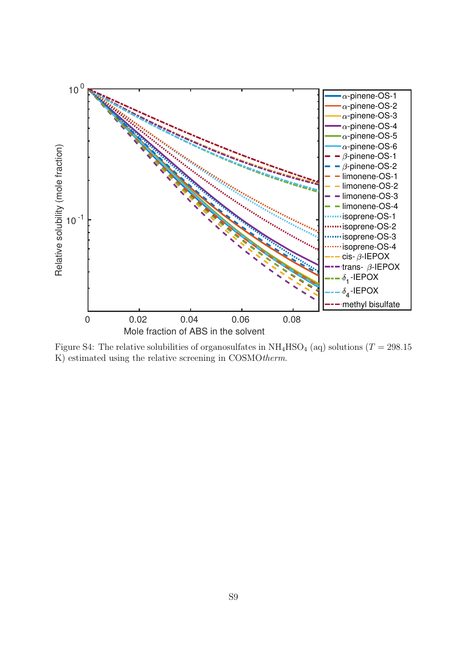

Figure S4: The relative solubilities of organosulfates in  $NH_4HSO_4$  (aq) solutions (T = 298.15 K) estimated using the relative screening in COSMOtherm.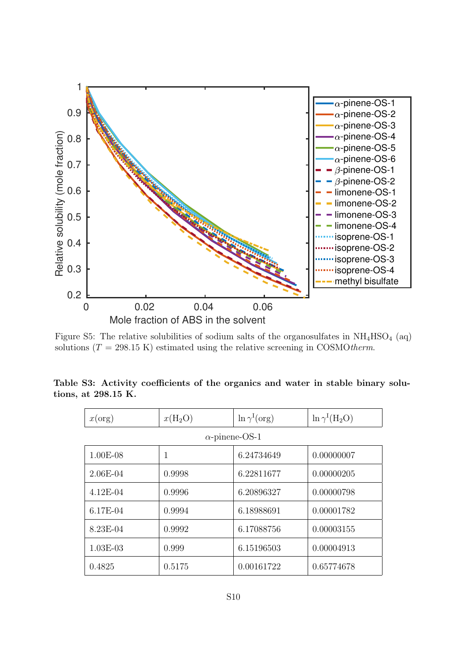

Figure S5: The relative solubilities of sodium salts of the organosulfates in  $NH<sub>4</sub>HSO<sub>4</sub>$  (aq) solutions ( $T = 298.15$  K) estimated using the relative screening in COSMOtherm.

|  |                     | Table S3: Activity coefficients of the organics and water in stable binary solu- |  |  |  |  |
|--|---------------------|----------------------------------------------------------------------------------|--|--|--|--|
|  | tions, at 298.15 K. |                                                                                  |  |  |  |  |
|  |                     |                                                                                  |  |  |  |  |

| x(org)     | $x(H_2O)$ | $\ln \gamma^{\rm I}(\text{org})$ | $\ln \gamma^I(H_2O)$ |
|------------|-----------|----------------------------------|----------------------|
|            |           | $\alpha$ -pinene-OS-1            |                      |
| $1.00E-08$ | 1         | 6.24734649                       | 0.00000007           |
| $2.06E-04$ | 0.9998    | 6.22811677                       | 0.00000205           |
| $4.12E-04$ | 0.9996    | 6.20896327                       | 0.00000798           |
| 6.17E-04   | 0.9994    | 6.18988691                       | 0.00001782           |
| 8.23E-04   | 0.9992    | 6.17088756                       | 0.00003155           |
| $1.03E-03$ | 0.999     | 6.15196503                       | 0.00004913           |
| 0.4825     | 0.5175    | 0.00161722                       | 0.65774678           |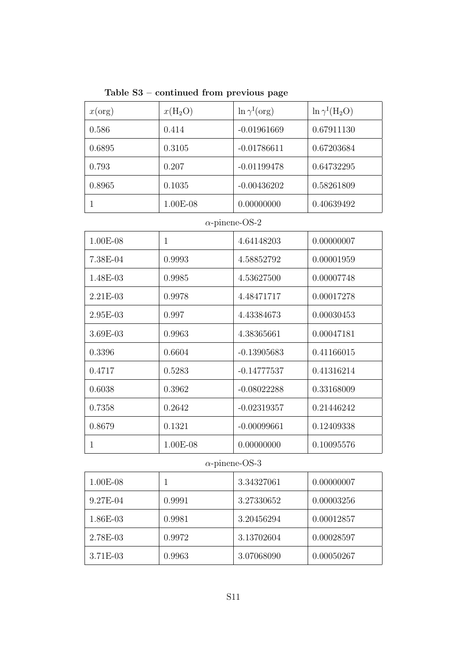Table S3 – continued from previous page

| x(org) | $x(H_2O)$ | $\ln \gamma^{\rm I}(\text{org})$ | $\ln \gamma^I(H_2O)$ |
|--------|-----------|----------------------------------|----------------------|
| 0.586  | 0.414     | $-0.01961669$                    | 0.67911130           |
| 0.6895 | 0.3105    | $-0.01786611$                    | 0.67203684           |
| 0.793  | 0.207     | $-0.01199478$                    | 0.64732295           |
| 0.8965 | 0.1035    | $-0.00436202$                    | 0.58261809           |
|        | 1.00E-08  | 0.00000000                       | 0.40639492           |

## $\alpha$ -pinene-OS-2

| 1.00E-08   | 1        | 4.64148203    | 0.00000007 |
|------------|----------|---------------|------------|
| 7.38E-04   | 0.9993   | 4.58852792    | 0.00001959 |
| 1.48E-03   | 0.9985   | 4.53627500    | 0.00007748 |
| $2.21E-03$ | 0.9978   | 4.48471717    | 0.00017278 |
| $2.95E-03$ | 0.997    | 4.43384673    | 0.00030453 |
| 3.69E-03   | 0.9963   | 4.38365661    | 0.00047181 |
| 0.3396     | 0.6604   | $-0.13905683$ | 0.41166015 |
| 0.4717     | 0.5283   | $-0.14777537$ | 0.41316214 |
| 0.6038     | 0.3962   | $-0.08022288$ | 0.33168009 |
| 0.7358     | 0.2642   | $-0.02319357$ | 0.21446242 |
| 0.8679     | 0.1321   | $-0.00099661$ | 0.12409338 |
| 1          | 1.00E-08 | 0.00000000    | 0.10095576 |

## $\alpha\text{-prime-OS-3}$

| 1.00E-08 |        | 3.34327061 | 0.00000007 |
|----------|--------|------------|------------|
| 9.27E-04 | 0.9991 | 3.27330652 | 0.00003256 |
| 1.86E-03 | 0.9981 | 3.20456294 | 0.00012857 |
| 2.78E-03 | 0.9972 | 3.13702604 | 0.00028597 |
| 3.71E-03 | 0.9963 | 3.07068090 | 0.00050267 |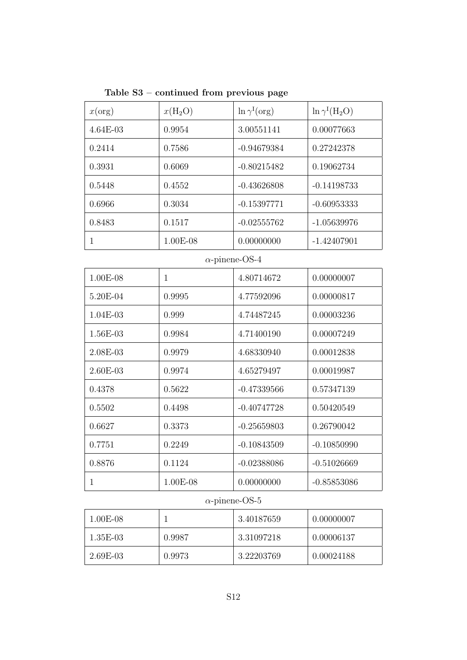Table S3 – continued from previous page

| x(org)       | $x(H_2O)$    | $\ln \gamma^I(\text{org})$ | $\ln \gamma^I(H_2O)$ |
|--------------|--------------|----------------------------|----------------------|
| 4.64E-03     | 0.9954       | 3.00551141                 | 0.00077663           |
| 0.2414       | 0.7586       | $-0.94679384$              | 0.27242378           |
| 0.3931       | 0.6069       | $-0.80215482$              | 0.19062734           |
| 0.5448       | 0.4552       | $-0.43626808$              | $-0.14198733$        |
| 0.6966       | 0.3034       | $-0.15397771$              | $-0.60953333$        |
| 0.8483       | 0.1517       | $-0.02555762$              | $-1.05639976$        |
| $\mathbf{1}$ | 1.00E-08     | 0.00000000                 | $-1.42407901$        |
|              |              | $\alpha$ -pinene-OS-4      |                      |
| 1.00E-08     | $\mathbf{1}$ | 4.80714672                 | 0.00000007           |
| 5.20E-04     | 0.9995       | 4.77592096                 | 0.00000817           |
| 1.04E-03     | 0.999        | 4.74487245                 | 0.00003236           |
| 1.56E-03     | 0.9984       | 4.71400190                 | 0.00007249           |
| 2.08E-03     | 0.9979       | 4.68330940                 | 0.00012838           |
| 2.60E-03     | 0.9974       | 4.65279497                 | 0.00019987           |
| 0.4378       | 0.5622       | $-0.47339566$              | 0.57347139           |
| 0.5502       | 0.4498       | $-0.40747728$              | 0.50420549           |
| 0.6627       | 0.3373       | $-0.25659803$              | 0.26790042           |
| 0.7751       | 0.2249       | $-0.10843509$              | $-0.10850990$        |
| 0.8876       | 0.1124       | $-0.02388086$              | $-0.51026669$        |
| $\mathbf 1$  | 1.00E-08     | 0.00000000                 | $-0.85853086$        |

#### $\alpha$ -pinene-OS-5

| $1.00E-08$ |        | 3.40187659 | 0.00000007 |
|------------|--------|------------|------------|
| 1.35E-03   | 0.9987 | 3.31097218 | 0.00006137 |
| $2.69E-03$ | 0.9973 | 3.22203769 | 0.00024188 |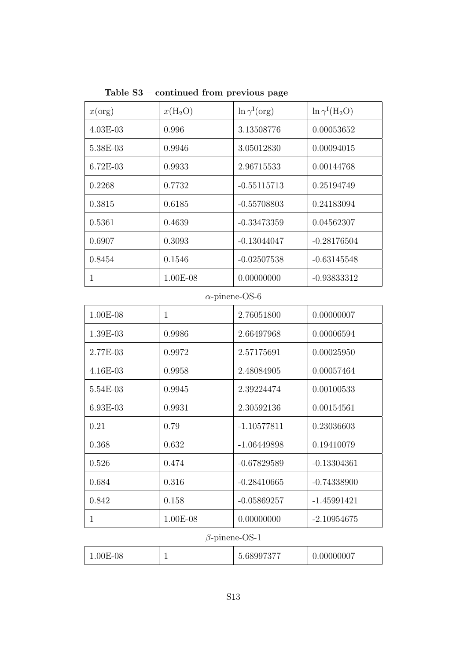| x(org)     | $x(H_2O)$  | $\ln \gamma^{\rm I}(\text{org})$ | $\ln \gamma^I(H_2O)$ |
|------------|------------|----------------------------------|----------------------|
| $4.03E-03$ | 0.996      | 3.13508776<br>0.00053652         |                      |
| 5.38E-03   | 0.9946     | 3.05012830<br>0.00094015         |                      |
| $6.72E-03$ | 0.9933     | 2.96715533                       | 0.00144768           |
| 0.2268     | 0.7732     | $-0.55115713$                    | 0.25194749           |
| 0.3815     | 0.6185     | $-0.55708803$                    | 0.24183094           |
| 0.5361     | 0.4639     | $-0.33473359$                    | 0.04562307           |
| 0.6907     | 0.3093     | $-0.13044047$                    | $-0.28176504$        |
| 0.8454     | 0.1546     | $-0.02507538$                    | $-0.63145548$        |
|            | $1.00E-08$ | 0.00000000                       | $-0.93833312$        |

Table S3 – continued from previous page

#### $\alpha$ -pinene-OS-6

| $1.00E-08$ | 1        | 2.76051800    | 0.00000007    |
|------------|----------|---------------|---------------|
| 1.39E-03   | 0.9986   | 2.66497968    | 0.00006594    |
| 2.77E-03   | 0.9972   | 2.57175691    | 0.00025950    |
| $4.16E-03$ | 0.9958   | 2.48084905    | 0.00057464    |
| 5.54E-03   | 0.9945   | 2.39224474    | 0.00100533    |
| 6.93E-03   | 0.9931   | 2.30592136    | 0.00154561    |
| 0.21       | 0.79     | $-1.10577811$ | 0.23036603    |
| 0.368      | 0.632    | $-1.06449898$ | 0.19410079    |
| 0.526      | 0.474    | $-0.67829589$ | $-0.13304361$ |
| 0.684      | 0.316    | $-0.28410665$ | $-0.74338900$ |
| 0.842      | 0.158    | $-0.05869257$ | $-1.45991421$ |
| 1          | 1.00E-08 | 0.00000000    | $-2.10954675$ |

#### β-pinene-OS-1

| 0007<br>$\blacksquare$<br>$-08$<br>МM<br>)()F<br>1.VVI<br>--<br>— |
|-------------------------------------------------------------------|
|-------------------------------------------------------------------|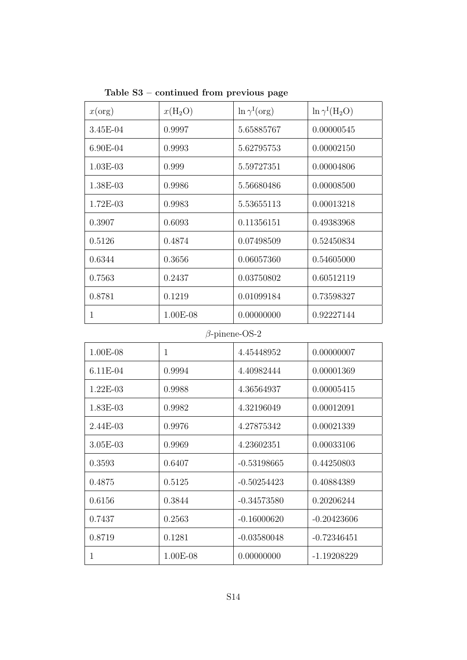| x(org)     | $x(H_2O)$  | $\ln \gamma^1(\text{org})$ | $\ln \gamma^I(H_2O)$ |
|------------|------------|----------------------------|----------------------|
| $3.45E-04$ | 0.9997     | 5.65885767                 | 0.00000545           |
| $6.90E-04$ | 0.9993     | 5.62795753                 | 0.00002150           |
| $1.03E-03$ | 0.999      | 5.59727351                 | 0.00004806           |
| 1.38E-03   | 0.9986     | 5.56680486                 | 0.00008500           |
| $1.72E-03$ | 0.9983     | 5.53655113                 | 0.00013218           |
| 0.3907     | 0.6093     | 0.11356151                 | 0.49383968           |
| 0.5126     | 0.4874     | 0.07498509                 | 0.52450834           |
| 0.6344     | 0.3656     | 0.06057360                 | 0.54605000           |
| 0.7563     | 0.2437     | 0.03750802                 | 0.60512119           |
| 0.8781     | 0.1219     | 0.01099184                 | 0.73598327           |
|            | $1.00E-08$ | 0.00000000                 | 0.92227144           |

Table S3 – continued from previous page

## $\beta$  -pinene-OS-2

| $1.00E-08$ | 1        | 4.45448952    | 0.00000007    |
|------------|----------|---------------|---------------|
| $6.11E-04$ | 0.9994   | 4.40982444    | 0.00001369    |
| $1.22E-03$ | 0.9988   | 4.36564937    | 0.00005415    |
| $1.83E-03$ | 0.9982   | 4.32196049    | 0.00012091    |
| $2.44E-03$ | 0.9976   | 4.27875342    | 0.00021339    |
| $3.05E-03$ | 0.9969   | 4.23602351    | 0.00033106    |
| 0.3593     | 0.6407   | $-0.53198665$ | 0.44250803    |
| 0.4875     | 0.5125   | -0.50254423   | 0.40884389    |
| 0.6156     | 0.3844   | $-0.34573580$ | 0.20206244    |
| 0.7437     | 0.2563   | $-0.16000620$ | $-0.20423606$ |
| 0.8719     | 0.1281   | $-0.03580048$ | $-0.72346451$ |
| 1          | 1.00E-08 | 0.00000000    | $-1.19208229$ |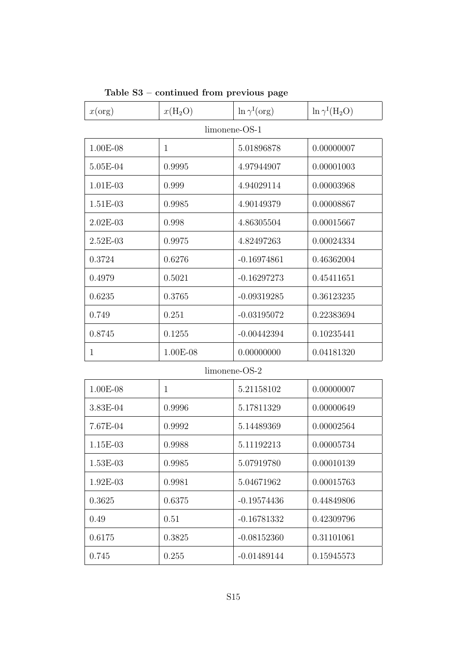| x(org)        | $x(H_2O)$    | $\ln \gamma^I(\text{org})$ | $\ln \gamma^I(H_2O)$ |  |
|---------------|--------------|----------------------------|----------------------|--|
| limonene-OS-1 |              |                            |                      |  |
| 1.00E-08      | $\mathbf{1}$ | 5.01896878                 | 0.00000007           |  |
| 5.05E-04      | 0.9995       | 4.97944907                 | 0.00001003           |  |
| 1.01E-03      | 0.999        | 4.94029114                 | 0.00003968           |  |
| 1.51E-03      | 0.9985       | 4.90149379                 | 0.00008867           |  |
| 2.02E-03      | 0.998        | 4.86305504                 | 0.00015667           |  |
| 2.52E-03      | 0.9975       | 4.82497263                 | 0.00024334           |  |
| 0.3724        | 0.6276       | $-0.16974861$              | 0.46362004           |  |
| 0.4979        | 0.5021       | $-0.16297273$              | 0.45411651           |  |
| 0.6235        | 0.3765       | $-0.09319285$              | 0.36123235           |  |
| 0.749         | 0.251        | $-0.03195072$              | 0.22383694           |  |
| 0.8745        | 0.1255       | $-0.00442394$              | 0.10235441           |  |
| 1             | 1.00E-08     | 0.00000000                 | 0.04181320           |  |
|               |              | $limonene-OS-2$            |                      |  |
| 1.00E-08      | $\mathbf{1}$ | 5.21158102                 | 0.00000007           |  |
| 3.83E-04      | 0.9996       | 5.17811329                 | 0.00000649           |  |
| 7.67E-04      | 0.9992       | 5.14489369                 | 0.00002564           |  |
| 1.15E-03      | 0.9988       | 5.11192213                 | 0.00005734           |  |
| 1.53E-03      | 0.9985       | 5.07919780                 | 0.00010139           |  |
| 1.92E-03      | 0.9981       | 5.04671962                 | 0.00015763           |  |
| 0.3625        | 0.6375       | $-0.19574436$              | 0.44849806           |  |
| 0.49          | 0.51         | $-0.16781332$              | 0.42309796           |  |
| 0.6175        | 0.3825       | $-0.08152360$              | 0.31101061           |  |
| 0.745         | 0.255        | $-0.01489144$              | 0.15945573           |  |

## Table S3 – continued from previous page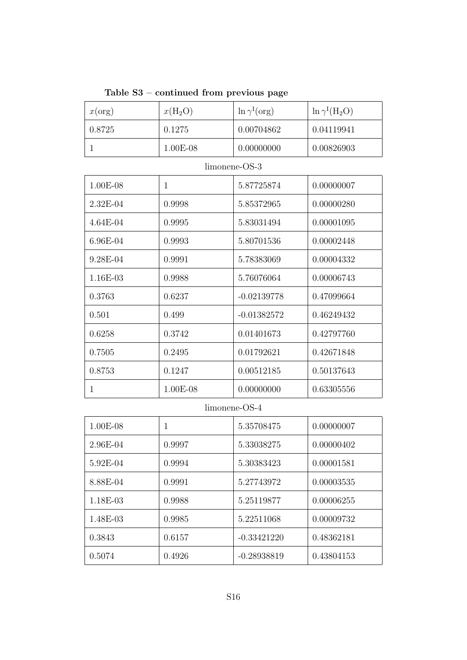| Table $S3$ – continued from previous page |  |  |
|-------------------------------------------|--|--|
|                                           |  |  |

| x(org)          | $x(H_2O)$ | $\ln \gamma^{\rm I}(\text{org})$ | $\ln \gamma^I(H_2O)$ |  |
|-----------------|-----------|----------------------------------|----------------------|--|
| 0.8725          | 0.1275    | 0.00704862                       | 0.04119941           |  |
|                 | 1.00E-08  | 0.00000000                       | 0.00826903           |  |
| $limonene-OS-3$ |           |                                  |                      |  |
| 1.00E-08        |           | 5.87725874                       | 0.00000007           |  |

| THUND ON   |            |               | 0.00000001 |
|------------|------------|---------------|------------|
| $2.32E-04$ | 0.9998     | 5.85372965    | 0.00000280 |
| $4.64E-04$ | 0.9995     | 5.83031494    | 0.00001095 |
| 6.96E-04   | 0.9993     | 5.80701536    | 0.00002448 |
| 9.28E-04   | 0.9991     | 5.78383069    | 0.00004332 |
| 1.16E-03   | 0.9988     | 5.76076064    | 0.00006743 |
| 0.3763     | 0.6237     | $-0.02139778$ | 0.47099664 |
| 0.501      | 0.499      | $-0.01382572$ | 0.46249432 |
| 0.6258     | 0.3742     | 0.01401673    | 0.42797760 |
| 0.7505     | 0.2495     | 0.01792621    | 0.42671848 |
| 0.8753     | 0.1247     | 0.00512185    | 0.50137643 |
| 1          | $1.00E-08$ | 0.00000000    | 0.63305556 |

#### limonene-OS-4

| 1.00E-08 | 1      | 5.35708475    | 0.00000007 |
|----------|--------|---------------|------------|
| 2.96E-04 | 0.9997 | 5.33038275    | 0.00000402 |
| 5.92E-04 | 0.9994 | 5.30383423    | 0.00001581 |
| 8.88E-04 | 0.9991 | 5.27743972    | 0.00003535 |
| 1.18E-03 | 0.9988 | 5.25119877    | 0.00006255 |
| 1.48E-03 | 0.9985 | 5.22511068    | 0.00009732 |
| 0.3843   | 0.6157 | $-0.33421220$ | 0.48362181 |
| 0.5074   | 0.4926 | $-0.28938819$ | 0.43804153 |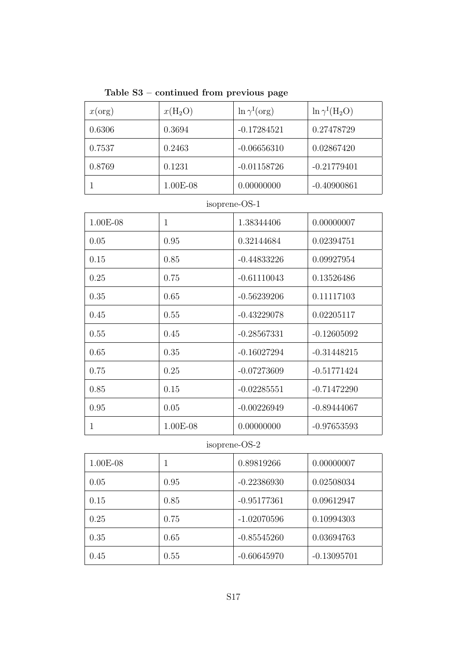| Table S3 – continued from previous page |  |  |
|-----------------------------------------|--|--|
|                                         |  |  |

| x(org) | $x(H_2O)$ | $\ln \gamma^1(\text{org})$ | $\ln \gamma^1(H_2O)$ |
|--------|-----------|----------------------------|----------------------|
| 0.6306 | 0.3694    | $-0.17284521$              | 0.27478729           |
| 0.7537 | 0.2463    | $-0.06656310$              | 0.02867420           |
| 0.8769 | 0.1231    | $-0.01158726$              | $-0.21779401$        |
|        | 1.00E-08  | 0.00000000                 | $-0.40900861$        |

## isoprene-OS-1

| 1.00E-08 | $\mathbf{1}$ | 1.38344406    | 0.00000007    |
|----------|--------------|---------------|---------------|
| 0.05     | 0.95         | 0.32144684    | 0.02394751    |
| 0.15     | 0.85         | $-0.44833226$ | 0.09927954    |
| 0.25     | 0.75         | $-0.61110043$ | 0.13526486    |
| 0.35     | 0.65         | $-0.56239206$ | 0.11117103    |
| 0.45     | 0.55         | $-0.43229078$ | 0.02205117    |
| 0.55     | 0.45         | $-0.28567331$ | $-0.12605092$ |
| 0.65     | 0.35         | $-0.16027294$ | $-0.31448215$ |
| 0.75     | 0.25         | $-0.07273609$ | $-0.51771424$ |
| 0.85     | 0.15         | $-0.02285551$ | $-0.71472290$ |
| 0.95     | 0.05         | $-0.00226949$ | $-0.89444067$ |
| 1        | 1.00E-08     | 0.00000000    | $-0.97653593$ |

## isoprene-OS-2

| $1.00E-08$ | 1    | 0.89819266    | 0.00000007    |
|------------|------|---------------|---------------|
| 0.05       | 0.95 | $-0.22386930$ | 0.02508034    |
| 0.15       | 0.85 | $-0.95177361$ | 0.09612947    |
| 0.25       | 0.75 | $-1.02070596$ | 0.10994303    |
| 0.35       | 0.65 | $-0.85545260$ | 0.03694763    |
| 0.45       | 0.55 | $-0.60645970$ | $-0.13095701$ |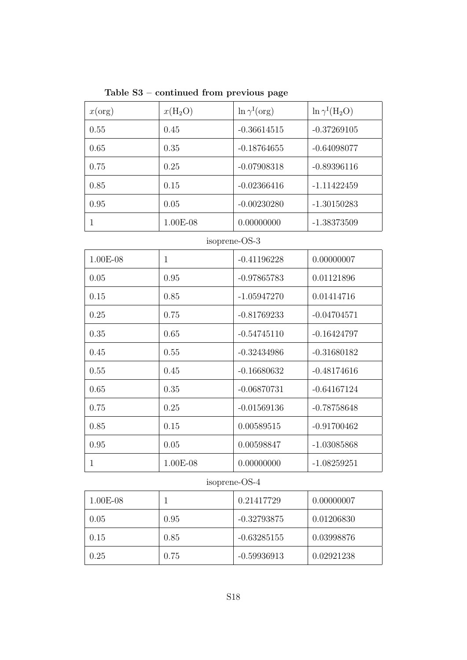Table S3 – continued from previous page

| x(org) | $x(H_2O)$  | $\ln \gamma^I(\text{org})$ | $\ln \gamma^I(H_2O)$ |
|--------|------------|----------------------------|----------------------|
| 0.55   | 0.45       | $-0.36614515$              | $-0.37269105$        |
| 0.65   | 0.35       | $-0.18764655$              | $-0.64098077$        |
| 0.75   | 0.25       | $-0.07908318$              | $-0.89396116$        |
| 0.85   | 0.15       | $-0.02366416$              | $-1.11422459$        |
| 0.95   | 0.05       | $-0.00230280$              | $-1.30150283$        |
|        | $1.00E-08$ | 0.00000000                 | $-1.38373509$        |

#### isoprene-OS-3

| 1.00E-08 | 1        | $-0.41196228$ | 0.00000007    |
|----------|----------|---------------|---------------|
| 0.05     | 0.95     | $-0.97865783$ | 0.01121896    |
| 0.15     | 0.85     | $-1.05947270$ | 0.01414716    |
| 0.25     | 0.75     | $-0.81769233$ | $-0.04704571$ |
| 0.35     | 0.65     | $-0.54745110$ | $-0.16424797$ |
| 0.45     | 0.55     | $-0.32434986$ | $-0.31680182$ |
| 0.55     | 0.45     | $-0.16680632$ | $-0.48174616$ |
| 0.65     | 0.35     | $-0.06870731$ | $-0.64167124$ |
| 0.75     | 0.25     | $-0.01569136$ | $-0.78758648$ |
| 0.85     | 0.15     | 0.00589515    | $-0.91700462$ |
| 0.95     | 0.05     | 0.00598847    | $-1.03085868$ |
| 1        | 1.00E-08 | 0.00000000    | $-1.08259251$ |

## isoprene-OS-4

| $1.00E-08$ |      | 0.21417729    | 0.00000007 |
|------------|------|---------------|------------|
| 0.05       | 0.95 | $-0.32793875$ | 0.01206830 |
| 0.15       | 0.85 | $-0.63285155$ | 0.03998876 |
| 0.25       | 0.75 | $-0.59936913$ | 0.02921238 |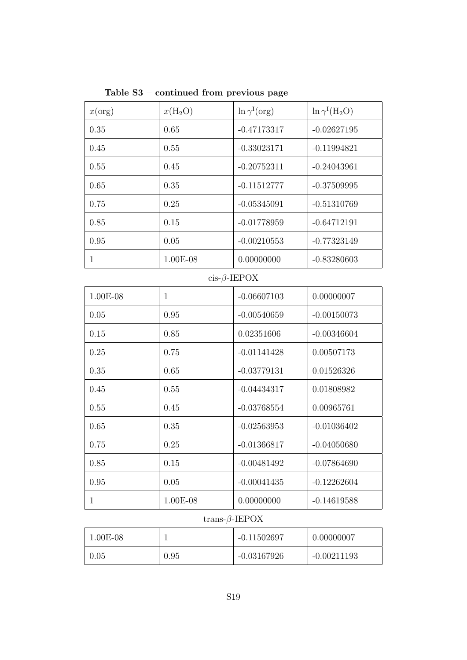Table S3 – continued from previous page

| x(org)       | $x(H_2O)$    | $\ln \gamma^I(\text{org})$ | $\ln \gamma^I(H_2O)$ |
|--------------|--------------|----------------------------|----------------------|
| 0.35         | 0.65         | $-0.47173317$              | $-0.02627195$        |
| 0.45         | 0.55         | $-0.33023171$              | $-0.11994821$        |
| 0.55         | 0.45         | $-0.20752311$              | $-0.24043961$        |
| 0.65         | 0.35         | $-0.11512777$              | $-0.37509995$        |
| 0.75         | 0.25         | $-0.05345091$              | $-0.51310769$        |
| 0.85         | 0.15         | $-0.01778959$              | $-0.64712191$        |
| 0.95         | 0.05         | $-0.00210553$              | $-0.77323149$        |
| $\mathbf{1}$ | $1.00E-08$   | 0.00000000                 | $-0.83280603$        |
|              |              | $cis$ - $\beta$ -IEPOX     |                      |
| 1.00E-08     | $\mathbf{1}$ | $-0.06607103$              | 0.00000007           |
| 0.05         | 0.95         | $-0.00540659$              | $-0.00150073$        |
| 0.15         | 0.85         | 0.02351606                 | $-0.00346604$        |
| 0.25         | 0.75         | $-0.01141428$              | 0.00507173           |
| 0.35         | 0.65         | $-0.03779131$              | 0.01526326           |
| 0.45         | 0.55         | $-0.04434317$              | 0.01808982           |
| 0.55         | 0.45         | $-0.03768554$              | 0.00965761           |
| 0.65         | 0.35         | $-0.02563953$              | $-0.01036402$        |
| 0.75         | 0.25         | $-0.01366817$              | $-0.04050680$        |
| 0.85         | 0.15         | $-0.00481492$              | $-0.07864690$        |
| 0.95         | 0.05         | $-0.00041435$              | $-0.12262604$        |
| $\mathbf{1}$ | 1.00E-08     | 0.00000000                 | $-0.14619588$        |

#### trans- $\beta$ -IEPOX

| $1.00E-08$ |      | $-0.11502697$ | 0.00000007    |
|------------|------|---------------|---------------|
| 0.05       | 0.95 | $-0.03167926$ | $-0.00211193$ |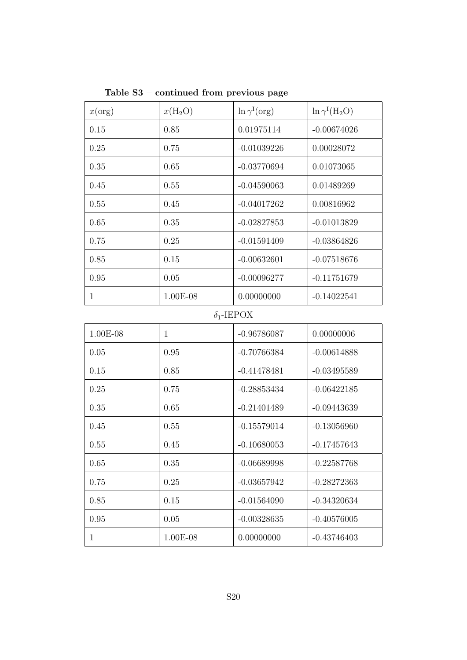| x(org)       | $x(H_2O)$ | $\ln \gamma^{\rm I}(\text{org})$ | $\ln \gamma^I(H_2O)$ |
|--------------|-----------|----------------------------------|----------------------|
| 0.15         | 0.85      | 0.01975114                       | $-0.00674026$        |
| 0.25         | 0.75      | $-0.01039226$                    | 0.00028072           |
| 0.35         | 0.65      | $-0.03770694$                    | 0.01073065           |
| 0.45         | 0.55      | $-0.04590063$                    | 0.01489269           |
| 0.55         | 0.45      | $-0.04017262$                    | 0.00816962           |
| 0.65         | 0.35      | $-0.02827853$                    | $-0.01013829$        |
| 0.75         | 0.25      | $-0.01591409$                    | $-0.03864826$        |
| 0.85         | 0.15      | $-0.00632601$                    | $-0.07518676$        |
| 0.95         | 0.05      | $-0.00096277$                    | $-0.11751679$        |
| $\mathbf{1}$ | 1.00E-08  | 0.00000000                       | $-0.14022541$        |

Table S3 – continued from previous page

# δ1-IEPOX

| $1.00E-08$ | 1        | $-0.96786087$ | 0.00000006    |
|------------|----------|---------------|---------------|
| 0.05       | 0.95     | $-0.70766384$ | $-0.00614888$ |
| 0.15       | 0.85     | $-0.41478481$ | $-0.03495589$ |
| 0.25       | 0.75     | $-0.28853434$ | $-0.06422185$ |
| 0.35       | 0.65     | $-0.21401489$ | $-0.09443639$ |
| 0.45       | 0.55     | $-0.15579014$ | $-0.13056960$ |
| 0.55       | 0.45     | $-0.10680053$ | $-0.17457643$ |
| 0.65       | 0.35     | $-0.06689998$ | $-0.22587768$ |
| 0.75       | 0.25     | $-0.03657942$ | $-0.28272363$ |
| 0.85       | 0.15     | $-0.01564090$ | $-0.34320634$ |
| 0.95       | 0.05     | $-0.00328635$ | $-0.40576005$ |
| 1          | 1.00E-08 | 0.00000000    | $-0.43746403$ |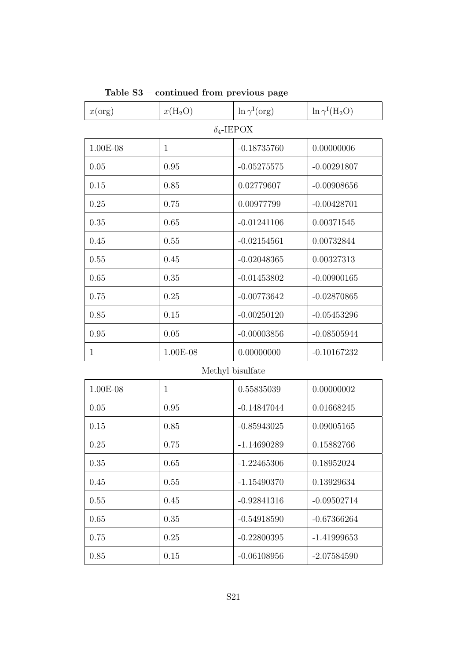| x(org)            | $x(H_2O)$    | $\ln \gamma^I(\text{org})$ | $\ln \gamma^I(H_2O)$ |  |
|-------------------|--------------|----------------------------|----------------------|--|
| $\delta_4$ -IEPOX |              |                            |                      |  |
| 1.00E-08          | $\mathbf{1}$ | $-0.18735760$              | 0.00000006           |  |
| 0.05              | 0.95         | $-0.05275575$              | $-0.00291807$        |  |
| 0.15              | 0.85         | 0.02779607                 | $-0.00908656$        |  |
| 0.25              | 0.75         | 0.00977799                 | $-0.00428701$        |  |
| 0.35              | 0.65         | $-0.01241106$              | 0.00371545           |  |
| 0.45              | 0.55         | $-0.02154561$              | 0.00732844           |  |
| 0.55              | 0.45         | $-0.02048365$              | 0.00327313           |  |
| 0.65              | 0.35         | $-0.01453802$              | $-0.00900165$        |  |
| 0.75              | 0.25         | $-0.00773642$              | $-0.02870865$        |  |
| 0.85              | 0.15         | $-0.00250120$              | $-0.05453296$        |  |
| 0.95              | 0.05         | $-0.00003856$              | $-0.08505944$        |  |
| $\mathbf{1}$      | 1.00E-08     | 0.00000000                 | $-0.10167232$        |  |
|                   |              | Methyl bisulfate           |                      |  |
| 1.00E-08          | $\mathbf{1}$ | 0.55835039                 | 0.00000002           |  |
| 0.05              | 0.95         | $-0.14847044$              | 0.01668245           |  |
| 0.15              | 0.85         | $-0.85943025$              | 0.09005165           |  |
| 0.25              | 0.75         | $-1.14690289$              | 0.15882766           |  |
| 0.35              | 0.65         | $-1.22465306$              | 0.18952024           |  |
| 0.45              | 0.55         | $-1.15490370$              | 0.13929634           |  |
| 0.55              | 0.45         | $-0.92841316$              | $-0.09502714$        |  |
| 0.65              | 0.35         | $-0.54918590$              | $-0.67366264$        |  |
| 0.75              | 0.25         | $-0.22800395$              | $-1.41999653$        |  |
| 0.85              | 0.15         | $-0.06108956$              | $-2.07584590$        |  |

#### Table S3 – continued from previous page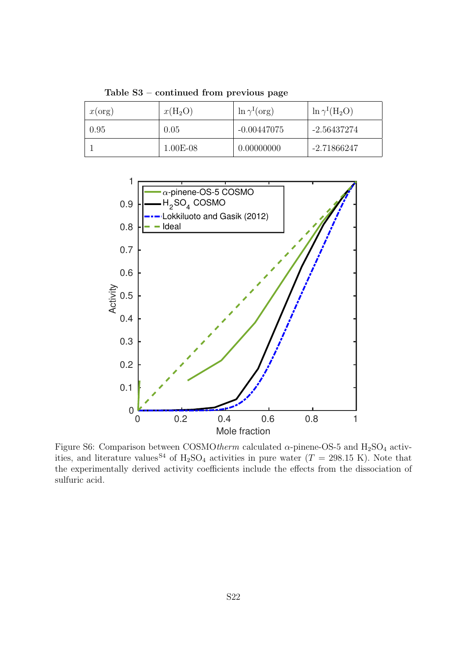| x(org) | $x(\text{H}_2\text{O})$ | $\ln \gamma^1(\text{org})$ | $\ln \gamma^I(H_2O)$ |
|--------|-------------------------|----------------------------|----------------------|
| 0.95   | 0.05                    | $-0.00447075$              | -2.56437274          |
|        | $1.00E-08$              | 0.00000000                 | -2.71866247          |

Table S3 – continued from previous page



Figure S6: Comparison between COSMOtherm calculated  $\alpha$ -pinene-OS-5 and H<sub>2</sub>SO<sub>4</sub> activities, and literature values<sup>84</sup> of H<sub>2</sub>SO<sub>4</sub> activities in pure water  $(T = 298.15 \text{ K})$ . Note that the experimentally derived activity coefficients include the effects from the dissociation of sulfuric acid.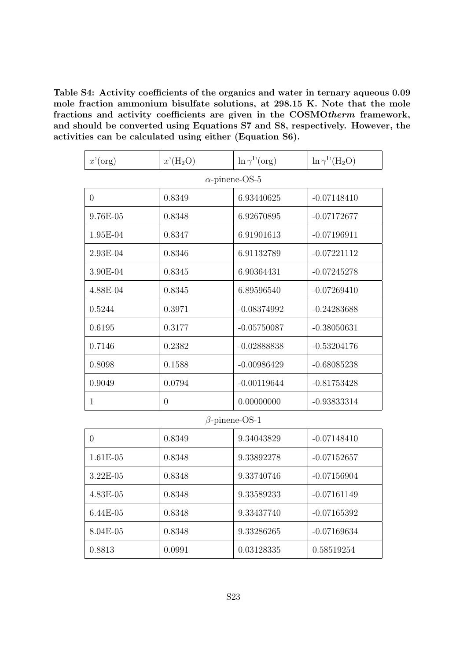Table S4: Activity coefficients of the organics and water in ternary aqueous 0.09 mole fraction ammonium bisulfate solutions, at 298.15 K. Note that the mole fractions and activity coefficients are given in the COSMOtherm framework, and should be converted using Equations S7 and S8, respectively. However, the activities can be calculated using either (Equation S6).

| $x'$ (org) | $x'(H_2O)$     | $\ln \gamma^{I'}(\text{org})$ | $\ln \gamma^{\rm I}{}'({\rm H}_2{\rm O})$ |
|------------|----------------|-------------------------------|-------------------------------------------|
|            |                | $\alpha$ -pinene-OS-5         |                                           |
| $\theta$   | 0.8349         | 6.93440625                    | $-0.07148410$                             |
| 9.76E-05   | 0.8348         | 6.92670895                    | $-0.07172677$                             |
| 1.95E-04   | 0.8347         | 6.91901613                    | $-0.07196911$                             |
| 2.93E-04   | 0.8346         | 6.91132789                    | $-0.07221112$                             |
| 3.90E-04   | 0.8345         | 6.90364431                    | $-0.07245278$                             |
| 4.88E-04   | 0.8345         | 6.89596540                    | $-0.07269410$                             |
| 0.5244     | 0.3971         | $-0.08374992$                 | $-0.24283688$                             |
| 0.6195     | 0.3177         | $-0.05750087$                 | $-0.38050631$                             |
| 0.7146     | 0.2382         | $-0.02888838$                 | $-0.53204176$                             |
| 0.8098     | 0.1588         | $-0.00986429$                 | $-0.68085238$                             |
| 0.9049     | 0.0794         | $-0.00119644$                 | $-0.81753428$                             |
| 1          | $\overline{0}$ | 0.00000000                    | $-0.93833314$                             |

#### β-pinene-OS-1

| 0          | 0.8349 | 9.34043829 | $-0.07148410$ |
|------------|--------|------------|---------------|
| 1.61E-05   | 0.8348 | 9.33892278 | $-0.07152657$ |
| $3.22E-05$ | 0.8348 | 9.33740746 | $-0.07156904$ |
| 4.83E-05   | 0.8348 | 9.33589233 | $-0.07161149$ |
| $6.44E-05$ | 0.8348 | 9.33437740 | $-0.07165392$ |
| 8.04E-05   | 0.8348 | 9.33286265 | $-0.07169634$ |
| 0.8813     | 0.0991 | 0.03128335 | 0.58519254    |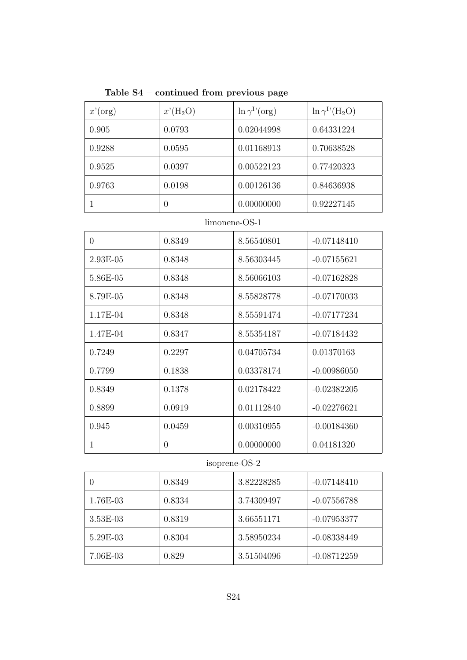Table S4 – continued from previous page

| $x'$ (org) | $x'(H_2O)$ | $\ln \gamma^{1'}(\text{org})$ | $\ln \gamma^{I}$ <sup>(</sup> H <sub>2</sub> O) |
|------------|------------|-------------------------------|-------------------------------------------------|
| 0.905      | 0.0793     | 0.02044998                    | 0.64331224                                      |
| 0.9288     | 0.0595     | 0.01168913                    | 0.70638528                                      |
| 0.9525     | 0.0397     | 0.00522123                    | 0.77420323                                      |
| 0.9763     | 0.0198     | 0.00126136                    | 0.84636938                                      |
|            | 0          | 0.00000000                    | 0.92227145                                      |

#### limonene-OS-1

| $\theta$   | 0.8349         | 8.56540801 | $-0.07148410$ |
|------------|----------------|------------|---------------|
| $2.93E-05$ | 0.8348         | 8.56303445 | $-0.07155621$ |
| 5.86E-05   | 0.8348         | 8.56066103 | $-0.07162828$ |
| 8.79E-05   | 0.8348         | 8.55828778 | $-0.07170033$ |
| 1.17E-04   | 0.8348         | 8.55591474 | $-0.07177234$ |
| 1.47E-04   | 0.8347         | 8.55354187 | $-0.07184432$ |
| 0.7249     | 0.2297         | 0.04705734 | 0.01370163    |
| 0.7799     | 0.1838         | 0.03378174 | $-0.00986050$ |
| 0.8349     | 0.1378         | 0.02178422 | $-0.02382205$ |
| 0.8899     | 0.0919         | 0.01112840 | $-0.02276621$ |
| 0.945      | 0.0459         | 0.00310955 | $-0.00184360$ |
| 1          | $\overline{0}$ | 0.00000000 | 0.04181320    |

## isoprene-OS-2

|            | 0.8349 | 3.82228285 | $-0.07148410$ |
|------------|--------|------------|---------------|
| 1.76E-03   | 0.8334 | 3.74309497 | $-0.07556788$ |
| $3.53E-03$ | 0.8319 | 3.66551171 | $-0.07953377$ |
| 5.29E-03   | 0.8304 | 3.58950234 | $-0.08338449$ |
| 7.06E-03   | 0.829  | 3.51504096 | $-0.08712259$ |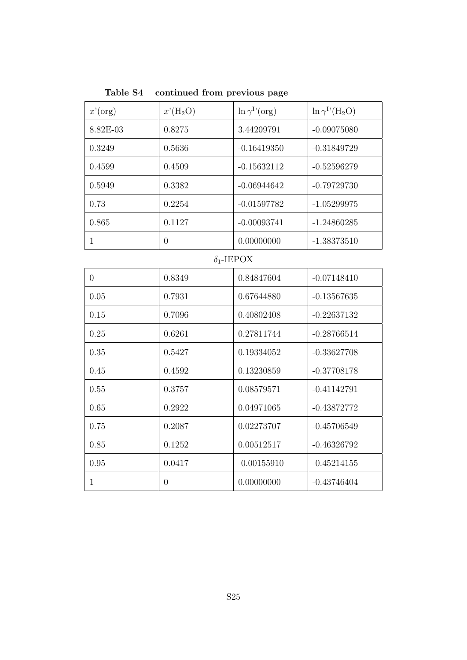| Table $S4$ – continued from previous page |  |  |
|-------------------------------------------|--|--|
|                                           |  |  |

| $x'$ (org)        | $x'(H_2O)$     | $\ln \gamma^{I'}(\text{org})$ | $\ln \gamma^{\rm I'}({\rm H_2O})$ |
|-------------------|----------------|-------------------------------|-----------------------------------|
| 8.82E-03          | 0.8275         | 3.44209791                    | $-0.09075080$                     |
| 0.3249            | 0.5636         | $-0.16419350$                 | $-0.31849729$                     |
| 0.4599            | 0.4509         | $-0.15632112$                 | $-0.52596279$                     |
| 0.5949            | 0.3382         | $-0.06944642$                 | $-0.79729730$                     |
| 0.73              | 0.2254         | $-0.01597782$                 | $-1.05299975$                     |
| 0.865             | 0.1127         | $-0.00093741$                 | $-1.24860285$                     |
| $\mathbf{1}$      | $\overline{0}$ | 0.00000000                    | $-1.38373510$                     |
| $\delta_1$ -IEPOX |                |                               |                                   |
| $\overline{0}$    | 0.8349         | 0.84847604                    | $-0.07148410$                     |
| 0.05              | 0.7931         | 0.67644880                    | $-0.13567635$                     |
| 0.15              | 0.7096         | 0.40802408                    | $-0.22637132$                     |
| 0.25              | 0.6261         | 0.27811744                    | $-0.28766514$                     |
| 0.35              | 0.5427         | 0.19334052                    | $-0.33627708$                     |
| 0.45              | 0.4592         | 0.13230859                    | $-0.37708178$                     |
| 0.55              | 0.3757         | 0.08579571                    | $-0.41142791$                     |
| 0.65              | 0.2922         | 0.04971065                    | $-0.43872772$                     |
| 0.75              | 0.2087         | 0.02273707                    | $-0.45706549$                     |
| 0.85              | 0.1252         | 0.00512517                    | $-0.46326792$                     |
| 0.95              | 0.0417         | $-0.00155910$                 | $-0.45214155$                     |
| $\mathbf{1}$      | $\overline{0}$ | 0.00000000                    | $-0.43746404$                     |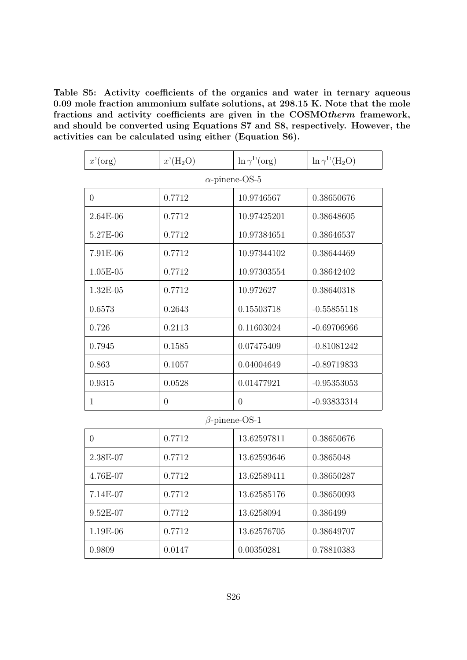Table S5: Activity coefficients of the organics and water in ternary aqueous 0.09 mole fraction ammonium sulfate solutions, at 298.15 K. Note that the mole fractions and activity coefficients are given in the COSMOtherm framework, and should be converted using Equations S7 and S8, respectively. However, the activities can be calculated using either (Equation S6).

| $x'$ (org) | $x'(H_2O)$     | $\ln \gamma^{I'}(\text{org})$ | $\ln \gamma^{\rm I}{}'({\rm H}_2{\rm O})$ |
|------------|----------------|-------------------------------|-------------------------------------------|
|            |                | $\alpha$ -pinene-OS-5         |                                           |
| $\theta$   | 0.7712         | 10.9746567                    | 0.38650676                                |
| 2.64E-06   | 0.7712         | 10.97425201                   | 0.38648605                                |
| 5.27E-06   | 0.7712         | 10.97384651                   | 0.38646537                                |
| 7.91E-06   | 0.7712         | 10.97344102                   | 0.38644469                                |
| $1.05E-05$ | 0.7712         | 10.97303554                   | 0.38642402                                |
| 1.32E-05   | 0.7712         | 10.972627                     | 0.38640318                                |
| 0.6573     | 0.2643         | 0.15503718                    | $-0.55855118$                             |
| 0.726      | 0.2113         | 0.11603024                    | $-0.69706966$                             |
| 0.7945     | 0.1585         | 0.07475409                    | $-0.81081242$                             |
| 0.863      | 0.1057         | 0.04004649                    | $-0.89719833$                             |
| 0.9315     | 0.0528         | 0.01477921                    | $-0.95353053$                             |
| 1          | $\overline{0}$ | $\theta$                      | $-0.93833314$                             |

#### β-pinene-OS-1

| 0          | 0.7712 | 13.62597811 | 0.38650676 |
|------------|--------|-------------|------------|
| 2.38E-07   | 0.7712 | 13.62593646 | 0.3865048  |
| 4.76E-07   | 0.7712 | 13.62589411 | 0.38650287 |
| 7.14E-07   | 0.7712 | 13.62585176 | 0.38650093 |
| $9.52E-07$ | 0.7712 | 13.6258094  | 0.386499   |
| 1.19E-06   | 0.7712 | 13.62576705 | 0.38649707 |
| 0.9809     | 0.0147 | 0.00350281  | 0.78810383 |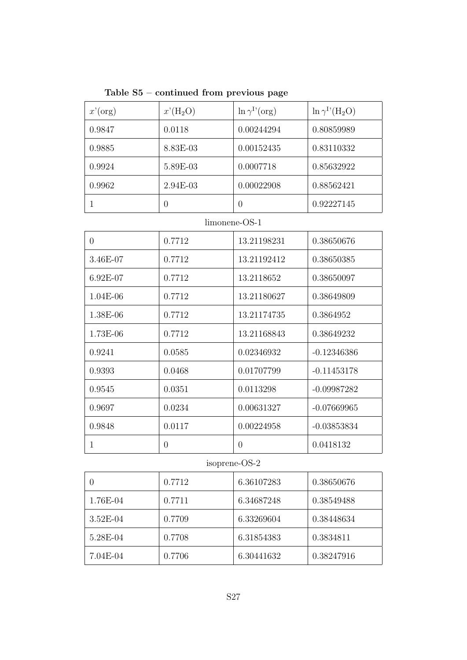Table S5 – continued from previous page

| $x'$ (org) | $x'(H_2O)$ | $\ln \gamma^{1'}(\text{org})$ | $\ln \gamma^{I}$ <sup>(</sup> H <sub>2</sub> O) |
|------------|------------|-------------------------------|-------------------------------------------------|
| 0.9847     | 0.0118     | 0.00244294                    | 0.80859989                                      |
| 0.9885     | 8.83E-03   | 0.00152435                    | 0.83110332                                      |
| 0.9924     | 5.89E-03   | 0.0007718                     | 0.85632922                                      |
| 0.9962     | $2.94E-03$ | 0.00022908                    | 0.88562421                                      |
|            | 0          | $\cup$                        | 0.92227145                                      |

### limonene-OS-1

| $\theta$   | 0.7712   | 13.21198231 | 0.38650676    |
|------------|----------|-------------|---------------|
| 3.46E-07   | 0.7712   | 13.21192412 | 0.38650385    |
| $6.92E-07$ | 0.7712   | 13.2118652  | 0.38650097    |
| $1.04E-06$ | 0.7712   | 13.21180627 | 0.38649809    |
| 1.38E-06   | 0.7712   | 13.21174735 | 0.3864952     |
| 1.73E-06   | 0.7712   | 13.21168843 | 0.38649232    |
| 0.9241     | 0.0585   | 0.02346932  | $-0.12346386$ |
| 0.9393     | 0.0468   | 0.01707799  | $-0.11453178$ |
| 0.9545     | 0.0351   | 0.0113298   | $-0.09987282$ |
| 0.9697     | 0.0234   | 0.00631327  | $-0.07669965$ |
| 0.9848     | 0.0117   | 0.00224958  | $-0.03853834$ |
| 1          | $\Omega$ | $\Omega$    | 0.0418132     |

## isoprene-OS-2

|            | 0.7712 | 6.36107283 | 0.38650676 |
|------------|--------|------------|------------|
| 1.76E-04   | 0.7711 | 6.34687248 | 0.38549488 |
| $3.52E-04$ | 0.7709 | 6.33269604 | 0.38448634 |
| 5.28E-04   | 0.7708 | 6.31854383 | 0.3834811  |
| 7.04E-04   | 0.7706 | 6.30441632 | 0.38247916 |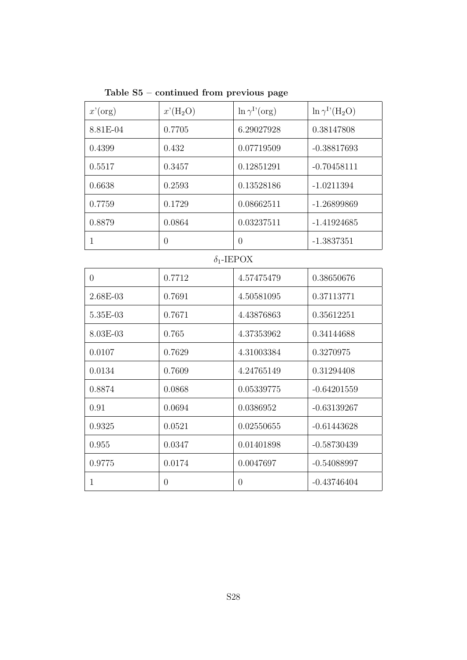|  | Table $S5$ – continued from previous page |  |  |
|--|-------------------------------------------|--|--|
|  |                                           |  |  |

| $x'$ (org)        | $x'(H_2O)$       | $\ln \gamma^{\rm I}$ (org) | $\ln \gamma^{\rm I'}({\rm H_2O})$ |
|-------------------|------------------|----------------------------|-----------------------------------|
| 8.81E-04          | 0.7705           | 0.38147808<br>6.29027928   |                                   |
| 0.4399            | 0.432            | 0.07719509                 | $-0.38817693$                     |
| 0.5517            | 0.3457           | 0.12851291                 | $-0.70458111$                     |
| 0.6638            | 0.2593           | 0.13528186                 | $-1.0211394$                      |
| 0.7759            | 0.1729           | 0.08662511                 | $-1.26899869$                     |
| 0.8879            | 0.0864           | 0.03237511                 | $-1.41924685$                     |
| $\mathbf 1$       | $\overline{0}$   | $\overline{0}$             | $-1.3837351$                      |
| $\delta_1$ -IEPOX |                  |                            |                                   |
| $\overline{0}$    | 0.7712           | 4.57475479                 | 0.38650676                        |
| 2.68E-03          | 0.7691           | 4.50581095                 | 0.37113771                        |
| 5.35E-03          | 0.7671           | 4.43876863                 | 0.35612251                        |
| 8.03E-03          | 0.765            | 4.37353962                 | 0.34144688                        |
| 0.0107            | 0.7629           | 4.31003384                 | 0.3270975                         |
| 0.0134            | 0.7609           | 4.24765149                 | 0.31294408                        |
| 0.8874            | 0.0868           | 0.05339775                 | $-0.64201559$                     |
| 0.91              | 0.0694           | 0.0386952                  | $-0.63139267$                     |
| 0.9325            | 0.0521           | 0.02550655                 | $-0.61443628$                     |
| 0.955             | 0.0347           | 0.01401898                 | $-0.58730439$                     |
| 0.9775            | 0.0174           | 0.0047697                  | $-0.54088997$                     |
| $\mathbf{1}$      | $\boldsymbol{0}$ | $\boldsymbol{0}$           | $-0.43746404$                     |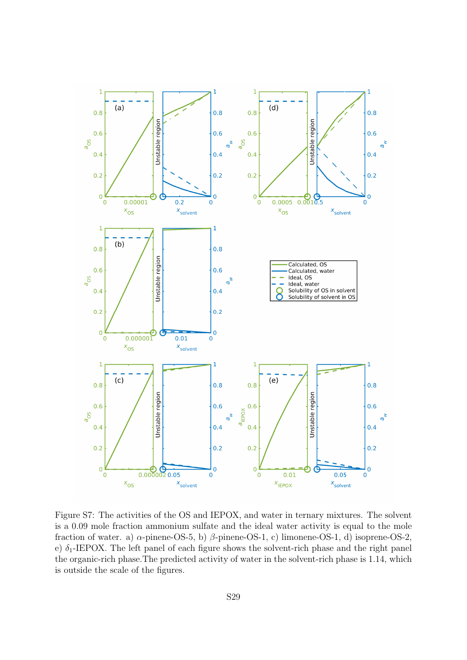

Figure S7: The activities of the OS and IEPOX, and water in ternary mixtures. The solvent is a 0.09 mole fraction ammonium sulfate and the ideal water activity is equal to the mole fraction of water. a)  $\alpha$ -pinene-OS-5, b)  $\beta$ -pinene-OS-1, c) limonene-OS-1, d) isoprene-OS-2, e)  $\delta_1$ -IEPOX. The left panel of each figure shows the solvent-rich phase and the right panel the organic-rich phase.The predicted activity of water in the solvent-rich phase is 1.14, which is outside the scale of the figures.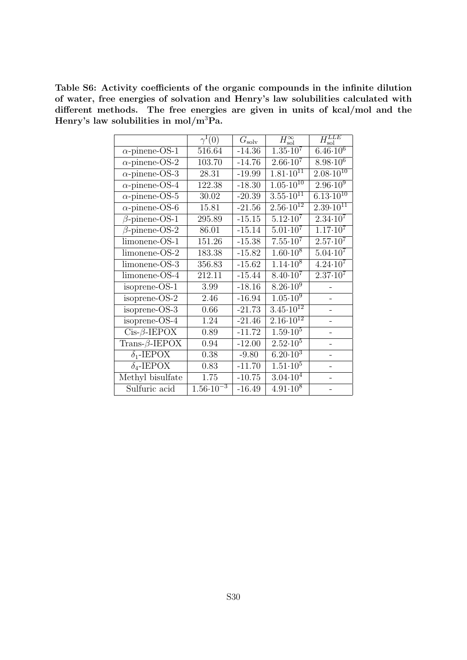Table S6: Activity coefficients of the organic compounds in the infinite dilution of water, free energies of solvation and Henry's law solubilities calculated with different methods. The free energies are given in units of kcal/mol and the Henry's law solubilities in mol/m<sup>3</sup>Pa.

|                             | $\gamma^{\rm I}(0)$  | $G_{\rm solv}$ | $H_\mathrm{sol}^\infty$         | $H_{\rm sol}^{LLE}$    |
|-----------------------------|----------------------|----------------|---------------------------------|------------------------|
| $\alpha$ -pinene-OS-1       | 516.64               | $-14.36$       | $\overline{1.35 \cdot 10^7}$    | $6.\overline{46.10^6}$ |
| $\alpha$ -pinene-OS-2       | 103.70               | $-14.76$       | $2.66 \cdot 10^7$               | $8.98 \cdot 10^{6}$    |
| $\alpha$ -pinene-OS-3       | 28.31                | $-19.99$       | $1.81 \cdot \overline{10^{11}}$ | $2.08 \cdot 10^{10}$   |
| $\alpha$ -pinene-OS-4       | 122.38               | $-18.30$       | $1.05 \cdot 10^{10}$            | $2.96 \cdot 10^{9}$    |
| $\alpha$ -pinene-OS-5       | 30.02                | $-20.39$       | $3.55 \cdot 10^{11}$            | $6.13 \cdot 10^{10}$   |
| $\alpha$ -pinene-OS-6       | 15.81                | $-21.56$       | $2.\overline{56.10^{12}}$       | $2.39 \cdot 10^{11}$   |
| $\beta$ -pinene-OS-1        | 295.89               | $-15.15$       | $5.12 \cdot 10^{7}$             | $2.34 \cdot 10^7$      |
| $\beta$ -pinene-OS-2        | 86.01                | $-15.14$       | $5.01 \cdot 10^{7}$             | $1.17 \cdot 10^7$      |
| limonene-OS-1               | 151.26               | $-15.38$       | $7.55 \cdot 10^7$               | $2.57 \cdot 10^7$      |
| limonene-OS-2               | 183.38               | $-15.82$       | $1.60 \cdot 10^8$               | $5.04 \cdot 10^7$      |
| limonene-OS-3               | 356.83               | $-15.62$       | $1.14 \cdot 10^8$               | $4.24 \cdot 10^{7}$    |
| limonene-OS-4               | 212.11               | $-15.44$       | $8.40 \cdot 10^7$               | $2.37 \cdot 10^{7}$    |
| isoprene-OS-1               | 3.99                 | $-18.16$       | $8.26 \cdot 10^9$               |                        |
| isoprene-OS-2               | 2.46                 | $-16.94$       | $1.05 \cdot 10^9$               |                        |
| isoprene-OS-3               | 0.66                 | $-21.73$       | $3.\overline{45.10^{12}}$       |                        |
| isoprene- $\overline{OS-4}$ | 1.24                 | $-21.46$       | $2.16 \cdot 10^{12}$            |                        |
| $Cis-\beta$ -IEPOX          | 0.89                 | $-11.72$       | $1.59 \cdot 10^{5}$             |                        |
| Trans- $\beta$ -IEPOX       | 0.94                 | $-12.00$       | $2.52 \cdot 10^5$               |                        |
| $\delta_1$ -IEPOX           | 0.38                 | $-9.80$        | $6.2\overline{0.10^3}$          |                        |
| $\delta_4$ -IEPOX           | 0.83                 | $-11.70$       | $1.51 \cdot 10^5$               |                        |
| Methyl bisulfate            | 1.75                 | $-10.75$       | $3.04\cdot\overline{10^4}$      |                        |
| Sulfuric acid               | $1.56 \cdot 10^{-3}$ | $-16.49$       | $4.91 \cdot 10^8$               |                        |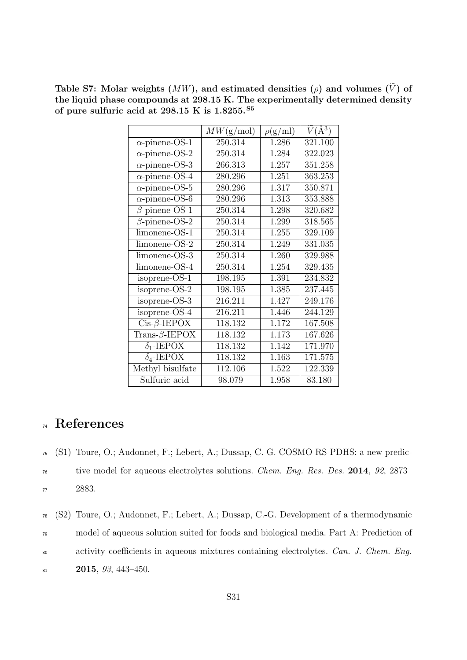Table S7: Molar weights  $(MW)$ , and estimated densities  $(\rho)$  and volumes  $(\tilde{V})$  of the liquid phase compounds at 298.15 K. The experimentally determined density of pure sulfuric acid at 298.15 K is 1.8255.S5

|                       | MW(g/mol) | $\rho(g/ml)$ | $\tilde{V}(\AA^3)$ |
|-----------------------|-----------|--------------|--------------------|
| $\alpha$ -pinene-OS-1 | 250.314   | 1.286        | 321.100            |
| $\alpha$ -pinene-OS-2 | 250.314   | 1.284        | 322.023            |
| $\alpha$ -pinene-OS-3 | 266.313   | 1.257        | 351.258            |
| $\alpha$ -pinene-OS-4 | 280.296   | 1.251        | 363.253            |
| $\alpha$ -pinene-OS-5 | 280.296   | 1.317        | 350.871            |
| $\alpha$ -pinene-OS-6 | 280.296   | 1.313        | 353.888            |
| $\beta$ -pinene-OS-1  | 250.314   | 1.298        | 320.682            |
| $\beta$ -pinene-OS-2  | 250.314   | 1.299        | 318.565            |
| limonene-OS-1         | 250.314   | 1.255        | 329.109            |
| limonene-OS-2         | 250.314   | 1.249        | 331.035            |
| limonene-OS-3         | 250.314   | 1.260        | 329.988            |
| limonene-OS-4         | 250.314   | 1.254        | 329.435            |
| isoprene-OS-1         | 198.195   | 1.391        | 234.832            |
| isoprene-OS-2         | 198.195   | 1.385        | 237.445            |
| isoprene-OS-3         | 216.211   | 1.427        | 249.176            |
| isoprene-OS-4         | 216.211   | 1.446        | 244.129            |
| $Cis-\beta$ -IEPOX    | 118.132   | 1.172        | 167.508            |
| Trans- $\beta$ -IEPOX | 118.132   | 1.173        | 167.626            |
| $\delta_1$ -IEPOX     | 118.132   | 1.142        | 171.970            |
| $\delta_4$ -IEPOX     | 118.132   | 1.163        | 171.575            |
| Methyl bisulfate      | 112.106   | 1.522        | 122.339            |
| Sulfuric acid         | 98.079    | 1.958        | 83.180             |

## <sup>74</sup> References

<sup>75</sup> (S1) Toure, O.; Audonnet, F.; Lebert, A.; Dussap, C.-G. COSMO-RS-PDHS: a new predic-

<sup>76</sup> tive model for aqueous electrolytes solutions. Chem. Eng. Res. Des. 2014, 92, 2873– <sup>77</sup> 2883.

 (S2) Toure, O.; Audonnet, F.; Lebert, A.; Dussap, C.-G. Development of a thermodynamic model of aqueous solution suited for foods and biological media. Part A: Prediction of 80 activity coefficients in aqueous mixtures containing electrolytes. Can. J. Chem. Eng. 2015, 93, 443-450.